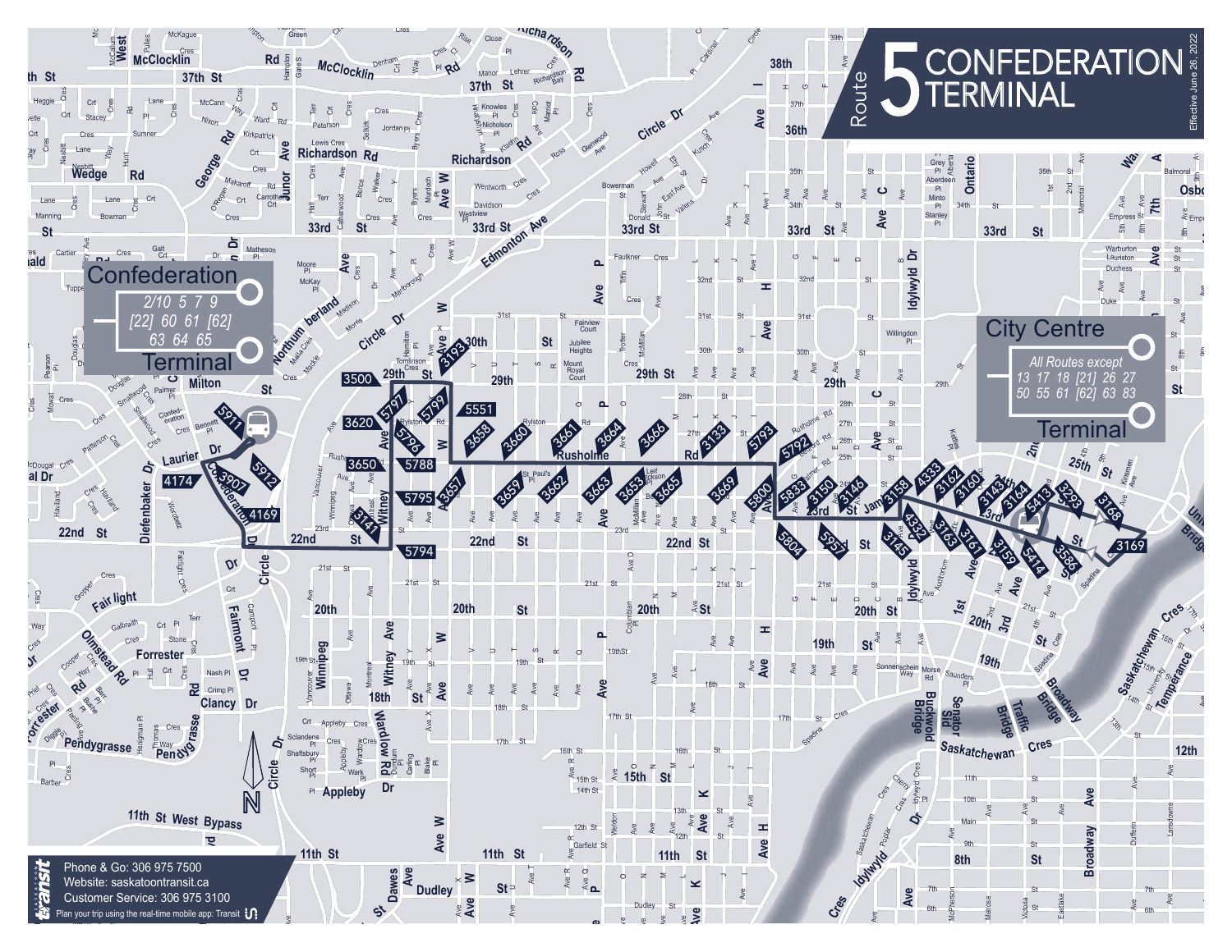